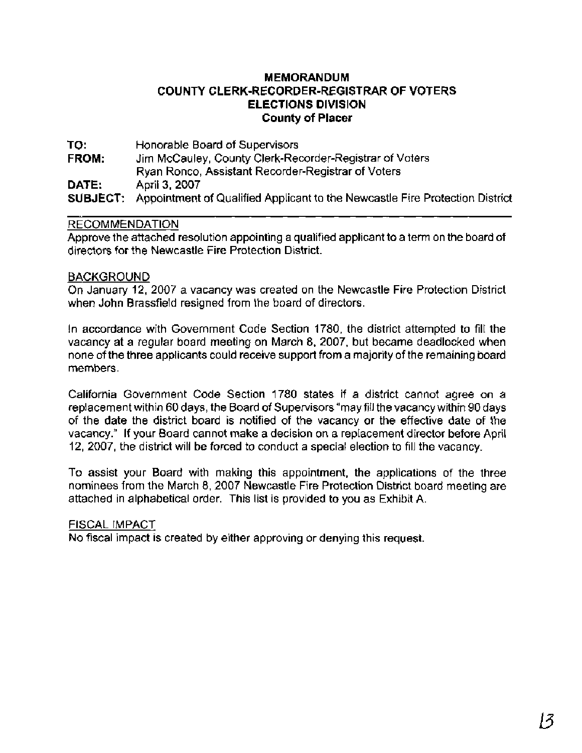# **MEMORANDUM COUNTY CLERK-RECORDER-REGISTRAR OF VOTERS ELECTIONS DIVISION County of Placer**

**TO:** Honorable Board of Supervisors **FROM:** Jim McCauley, County Clerk-Recorder-Registrar of Voters Ryan Ronco, Assistant Recorder-Registrar of Voters **DATE:** April **3,** 2007 **SUBJECT:** Appointment of Qualified Applicant to the Newcastle Fire Protection District

### RECOMMENDATION

Approve the attached resolution appointing a qualified applicant to a term on the board of directors for the Newcastle Fire Protection District.

## BACKGROUND

On January 12, 2007 a vacancy was created on the Newcastle Fire Protection District when John Brassfield resigned from the board of directors.

In accordance with Government Code Section 1780, the district attempted to fill the vacancy at a regular board meeting on March 8, 2007, but became deadlocked when none of the three applicants could receive support from a majority of the remaining board members.

California Government Code Section 1780 states if a district cannot agree on a replacement within 60 days, the Board of Supervisors "may fill the vacancywithin 90 days of the date the district board is notified of the vacancy or the effective date of the vacancy." If your Board cannot make a decision on a replacement director before April 12, 2007, the district will be forced to conduct a special election to fill the vacancy.

To assist your Board with making this appointment, the applications of the three nominees from the March 8, 2007 Newcastle Fire Protection District board meeting are attached in alphabetical order. This list is provided to you as Exhibit A.

### FISCAL IMPACT

No fiscal impact is created by either approving or denying this request.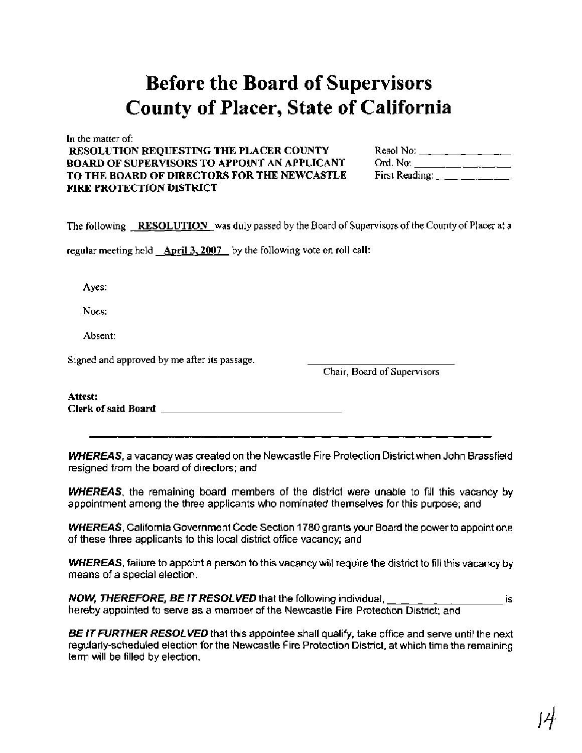# **Before the Board of Supervisors County of Placer, State of California**

In the matter of:

### **RESOLUTION REQUESTING THE PLACER COUNTY BOARD OF SUPERVISORS TO APPOINT AN APPLICANT** TO THE BOARD OF DIRECTORS FOR THE NEWCASTLE **FIRE PROTECTION DISTRICT**

| Resol No:      |  |  |
|----------------|--|--|
|                |  |  |
| First Reading: |  |  |

The following **RESOLUTION** was duly passed by the Board of Supervisors of the County of Placer at a

regular meeting held **April 3.2007** by the following vote on roll call:

Ayes:

Noes:

Absent:

Signed and approved by me after its passage.

Chair, Board of Supervisors

**Attest: Clerk of said Board** 

**WHEREAS,** a vacancy was created on the Newcastle Fire Protection District when John Brassfield resigned from the board of directors; and

**WHEREAS,** the remaining board members of the district were unable to fill this vacancy by appointment among the three applicants who nominated themselves for this purpose; and

**WHEREAS,** California Government Code Section 1780 grants your Board the power to appoint one of these three applicants to this local district office vacancy; and

**WHEREAS,** failure to appoint a person to this vacancy will require the district to fill this vacancy by means of a special election.

**NOW, THEREFORE, BE IT RESOLVED** that the following individual, is hereby appointed to serve as a member of the Newcastle Fire Protection District; and

**BE IT FURTHER RESOLVED** that this appointee shall qualify, take office and serve until the next regularly-scheduled election for the Newcastle Fire Protection District, at which time the remaining term will be filled by election.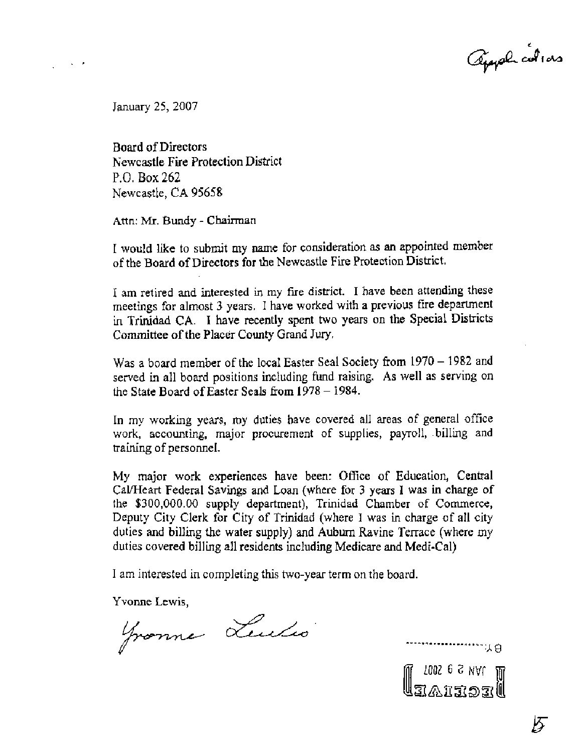Appela cultura

January 25,2007

Board of Directors Newcastle Fire Protection District P.O. **Box** 262 Newcastle, CA 95658

**Attn:** Mr. Bundy - **Chairman** 

I would like to submit my name for consideration as an appointed member of the Board of Directors for the Newcastle Fire Protection District.

I am retired and interested in my fire district. I have been attending these meetings for almost **3** years. I have worked with a previous fire department in Trinidad CA. I have recently spent two years on the Special Districts Committee of the Placer County Grand Jury.

Was a board member of the local Easter Seal Society from  $1970 - 1982$  and served in all board positions including fund raising. As well as serving on the State Board of Easter Seals from  $1978 - 1984$ .

In my working years, my duties have covered all areas of general office work, accounting, major procurement of supplies, payroll, billing and training of personnel.

My major work experiences have been: Ofice of Education, Central Cal/Heart Federal Savings and Loan (vhere for **3** years I **was** in charge of the \$300,000.00 supply department), Trinidad Chamber of Commerce, Deputy City Clerk for City of Trinidad (where I was in charge of all city duties and billing the water supply) and Auburn Ravine Terrace (where my duties covered billing all residents including Medicare and Medi-Cal)

I am interested in completing this two-year term on the board.

Yvonne Lewis,

Fronne Leules

M 1945 6 2001<br>Megeraale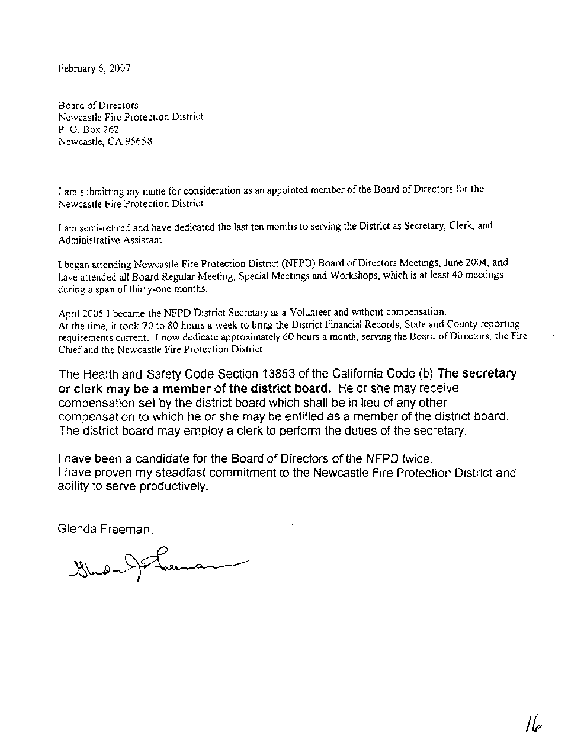February 6, 2007

Board of Directors Newcastle Fire Protection District P. *0.* Box 262 Newcastle, CA 95658

I am submitting my name for consideration as an appointed member of the Board of Directors for the Newcastle Fire Protection District.

I am semi-retired and have dedicated the last ten months to serving the District as Secretary, Clerk, and Administrative Assistant.

I began attending Newcastle Fire Protection District (NFPD) Board of Directors Meetings, June 2004, and have attended all Board Regular Meeting, Special Meetings and Workshops, which is at least 40 meetings during a span of thirty-one months.

April 2005 I became the NFPD District Secretary as a Volunteer and without compensation. At the time, it took 70 to 80 hours a week to bring the District Financial Records, State and County reporting requirements current. I now dedicate approximately 60 hours a month, serving the Board of Directors, the Fire Chief and the Newcastle Fire Protection District

The Health and Safety Code Section 13853 of the California Code (b) **The** secretary **or clerk may be a member of the district board.** He or she may receive compensation set by the district board which shall be in lieu of any other compensation to which he or she may be entitled as a member of the district board. The district board may employ a clerk to perform the duties of the secretary.

I have been a candidate for the Board of Directors of the NFPD twice. **<sup>1</sup>**have proven my steadfast commitment to the Newcastle Fire Protection District and ability to serve productively.

Glenda Freeman,

 $\lim_{n\rightarrow\infty}$  Freeze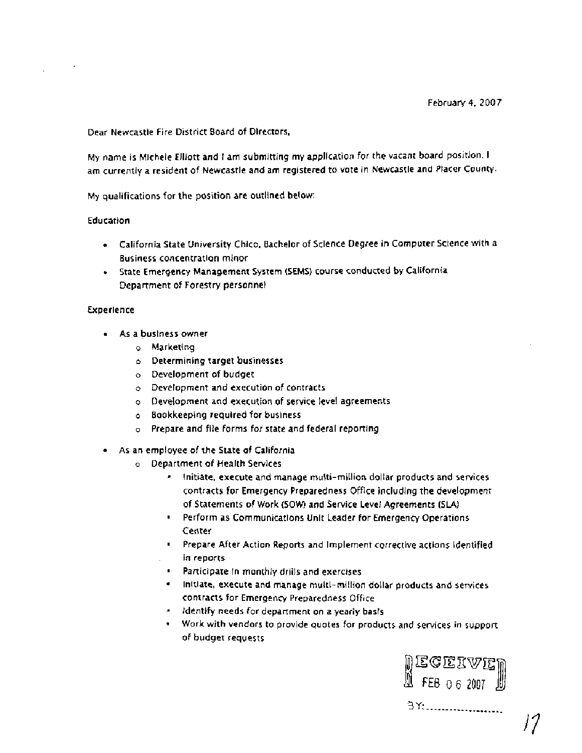Dear Newcastle Fire District Board of Directors,

My name is Michele Elliott and I am submitting my application for the vacant board position. I am currently a resident of Newcastle and am registered to vote in Newcastle and Placer County.

My qualifications for the position are outlined below:

### Education

- California State University Chico, Bachelor of Science Degree in Computer Science with a Business concentration minor
- State Emergency Management System (SEMS) course conducted by California Department of Forestry personnel

### Experience

- As a business owner
	- o Marketing
	- **o** Determining target businesses
	- **o** Development of budget
	- **o** Development and execution of contracts
	- o Development and execution of service level agreements
	- o Bookkeeping required for business
	- o Prepare and file forms for state and federal reporting
- As an employee of the State of California
	- **o** Department of Health Services
		- Initiate, execute and manage multi-million dollar products and services contracts for Emergency Preparedness Office including the development of Statements of Work (SOW) and Service Level Agreements (SLA)
		- Perform as Communications Unlt Leader for Emergency Operations Center
		- Prepare After Action Reports and implement corrective actions identified . in reports
		- **Participate in monthly drills and exercises**
		- Initlate, execute and manage multi-million dollar products and services contracts for Emergency Preparedness Office
		- identify needs for department on a yearly basis
		- Work with vendors to provide quotes for products and services in support of budget requests

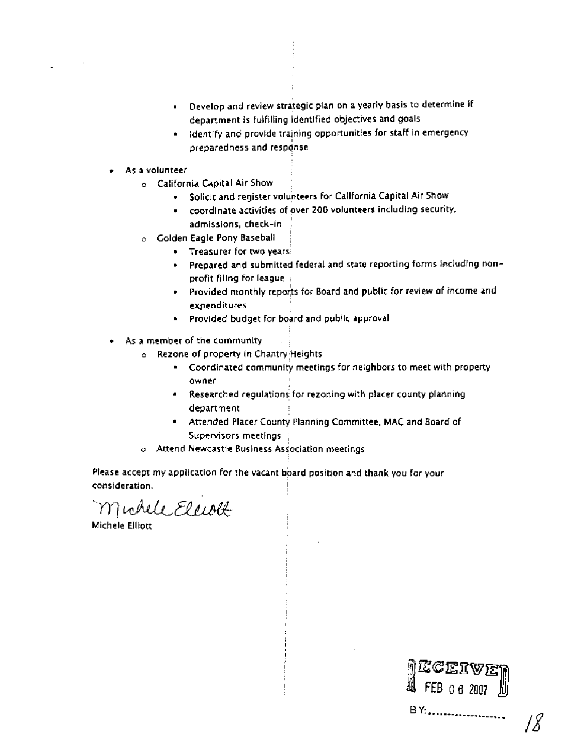- Develop and review strategic plan on a yearly basis to determine if department is fulfilling identified objectives and goals
- Identify and provide training opportunities for staff in emergency preparedness and response
- As a volunteer
	- **o** California Capital Air Show !
		- Solicit and register volunteers for California Capital Air Show

į.

- coordinate activities of over 200 volunteers including security, I admissions, check-in ;
- **o** Golden Eagle Pony Baseball i
	- **Treasurer for two years:**
	- Prepared and submitted federal and state reporting forms including nonprofit filing for league 1
	- Provided monthly reports for Board and public for review of income and expenditures
	- **Provided budget for board and public approval**
- As a member of the community
	- **o** Rezone of property in Chantry,Heights
		- Coordinated community meetings for neighbors to meet with property  $\bullet$ owner
		- I Researched regulations for rezoning with placer county planning department
		- Attended Placer County Planning Committee, MAC and Board of Supervisors meetings ,
	- o Attend Newcastle Business Association meetings

Please accept my application for the vacant board position and thank you for your consideratlon. !

Muhele Eleott

Michele Elliott 1

MECEIVE<br>1 FEB 06 2007 BY:.....................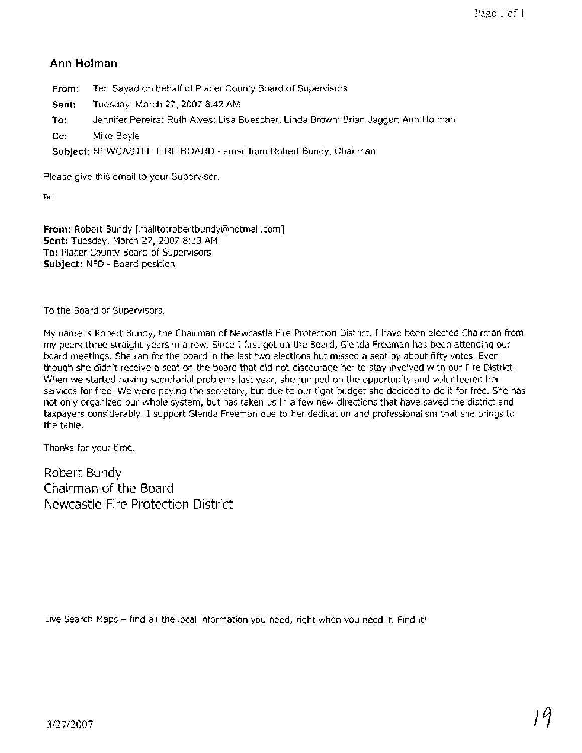# **Ann Holman**

**From:** Teri Sayad on behalf of Placer County Board of Supervisors

**Sent:** Tuesday, March 27, 2007 8:42 AM

**To:** Jennifer Pereira; Ruth Alves; Lisa Buescher; Linda Brown; Brian Jagger; Ann Holman

**Cc:** Mike Boyle

**Subject:** NEWCASTLE FIRE BOARD - email from Robert Bundy, Chairman

Please give this email to your Supervisor.

Teri

**From:** Robert Bundy [mailto:robertbundy@hotmail.com] **Sent:** Tuesday, March 27, 2007 8: 13 AM **To:** Placer County Board of Supervisors **Subject:** NFD - Board position

To the Board of Supervisors,

My name is Robert Bundy, the Chairman of Newcastle Fire Protection District. I have been elected Chairman from my peers three straight years in a row. Since I first got on the Board, Glenda Freeman has been attending our board meetings. She ran for the board in the last two elections but missed a seat by about fifty votes. Even though she didn't receive a seat on the board that did not discourage her to stay involved with our Fire District. When we started having secretarial problems last year, she jumped on the opportunity and volunteered her services for free. We were paying the secretary, but due to our tight budget she decided to do it for free. She has not only organized our whole system, but has taken us in a few new directions that have saved the district and taxpayers considerably. I support Glenda Freeman due to her dedication and professionalism that she brings to the table.

Thanks for your time.

Robert Bundy Chairman of the Board Newcastle Fire Protection District

Live Search Maps - find all the local information you need, right when you need it. Find it!